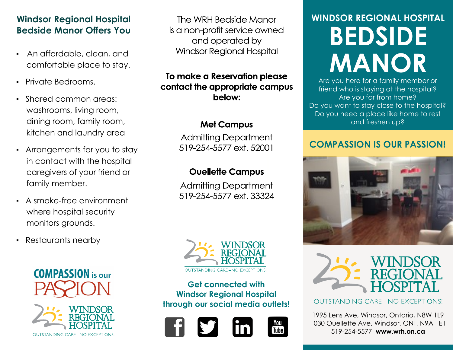## **Windsor Regional Hospital Bedside Manor Offers You**

- An affordable, clean, and comfortable place to stay.
- **Private Bedrooms.**
- Shared common areas: washrooms, living room, dining room, family room, kitchen and laundry area
- Arrangements for you to stay in contact with the hospital caregivers of your friend or family member.
- A smoke-free environment where hospital security monitors grounds.
- Restaurants nearby

**COMPASSION** is our



The WRH Bedside Manor is a non-profit service owned and operated by **Windsor Regional Hospital** 

## To make a Reservation please contact the appropriate campus below:

## **Met Campus**

**Admitting Department** 519-254-5577 ext. 52001

## **Ouellette Campus**

**Admitting Department** 519-254-5577 ext. 33324



**Get connected with Windsor Regional Hospital through our social media outlets!**





# **WINDSOR REGIONAL HOSPITAL BEDSIDE MANOR**

Are you here for a family member or friend who is staying at the hospital? Are you far from home? Do you want to stay close to the hospital? Do you need a place like home to rest and freshen up?

## **COMPASSION IS OUR PASSION!**





**OUTSTANDING CARE - NO EXCEPTIONS!** 

1995 Lens Ave, Windsor, Ontario, N8W 1L9 1030 Ouellette Ave, Windsor, ONT, N9A 1E1 519-254-5577 **www.wrh.on.ca**